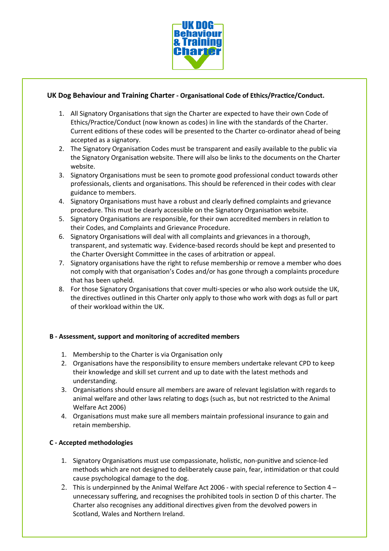

# **UK Dog Behaviour and Training Charter - Organisa�onal Code of Ethics/Prac�ce/Conduct.**

- 1. All Signatory Organisations that sign the Charter are expected to have their own Code of Ethics/Practice/Conduct (now known as codes) in line with the standards of the Charter. Current editions of these codes will be presented to the Charter co-ordinator ahead of being accepted as a signatory.
- 2. The Signatory Organisation Codes must be transparent and easily available to the public via the Signatory Organisation website. There will also be links to the documents on the Charter website.
- 3. Signatory Organisations must be seen to promote good professional conduct towards other professionals, clients and organisations. This should be referenced in their codes with clear guidance to members.
- 4. Signatory Organisations must have a robust and clearly defined complaints and grievance procedure. This must be clearly accessible on the Signatory Organisation website.
- 5. Signatory Organisations are responsible, for their own accredited members in relation to their Codes, and Complaints and Grievance Procedure.
- 6. Signatory Organisations will deal with all complaints and grievances in a thorough, transparent, and systema�c way. Evidence-based records should be kept and presented to the Charter Oversight Committee in the cases of arbitration or appeal.
- 7. Signatory organisations have the right to refuse membership or remove a member who does not comply with that organisation's Codes and/or has gone through a complaints procedure that has been upheld.
- 8. For those Signatory Organisations that cover multi-species or who also work outside the UK, the directives outlined in this Charter only apply to those who work with dogs as full or part of their workload within the UK.

## **B - Assessment, support and monitoring of accredited members**

- 1. Membership to the Charter is via Organisation only
- 2. Organisations have the responsibility to ensure members undertake relevant CPD to keep their knowledge and skill set current and up to date with the latest methods and understanding.
- 3. Organisations should ensure all members are aware of relevant legislation with regards to animal welfare and other laws relating to dogs (such as, but not restricted to the Animal Welfare Act 2006)
- 4. Organisations must make sure all members maintain professional insurance to gain and retain membership.

## **C - Accepted methodologies**

- 1. Signatory Organisations must use compassionate, holistic, non-punitive and science-led methods which are not designed to deliberately cause pain, fear, intimidation or that could cause psychological damage to the dog.
- 2. This is underpinned by the Animal Welfare Act 2006 with special reference to Section 4 unnecessary suffering, and recognises the prohibited tools in section D of this charter. The Charter also recognises any additional directives given from the devolved powers in Scotland, Wales and Northern Ireland.